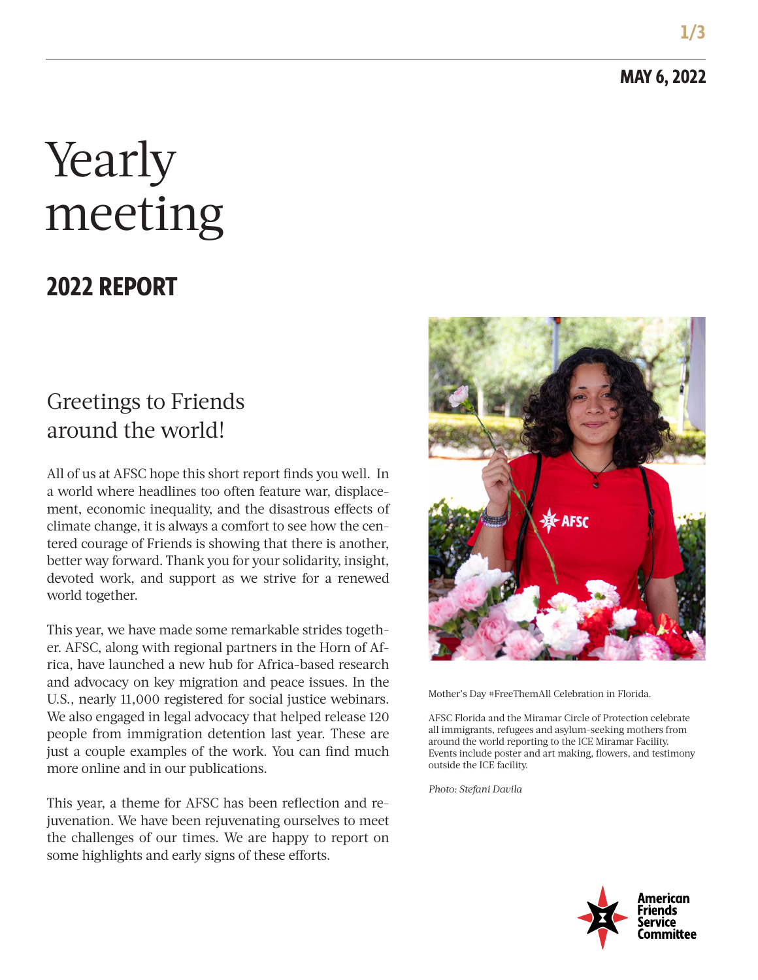**1/3**

# Yearly meeting

## **2022 REPORT**

### Greetings to Friends around the world!

All of us at AFSC hope this short report finds you well. In a world where headlines too often feature war, displacement, economic inequality, and the disastrous effects of climate change, it is always a comfort to see how the centered courage of Friends is showing that there is another, better way forward. Thank you for your solidarity, insight, devoted work, and support as we strive for a renewed world together.

This year, we have made some remarkable strides together. AFSC, along with regional partners in the Horn of Africa, have launched a new hub for Africa-based research and advocacy on key migration and peace issues. In the U.S., nearly 11,000 registered for social justice webinars. We also engaged in legal advocacy that helped release 120 people from immigration detention last year. These are just a couple examples of the work. You can find much more online and in our publications.

This year, a theme for AFSC has been reflection and rejuvenation. We have been rejuvenating ourselves to meet the challenges of our times. We are happy to report on some highlights and early signs of these efforts.



Mother's Day #FreeThemAll Celebration in Florida.

AFSC Florida and the Miramar Circle of Protection celebrate all immigrants, refugees and asylum-seeking mothers from around the world reporting to the ICE Miramar Facility. Events include poster and art making, flowers, and testimony outside the ICE facility.

*Photo: Stefani Davila*

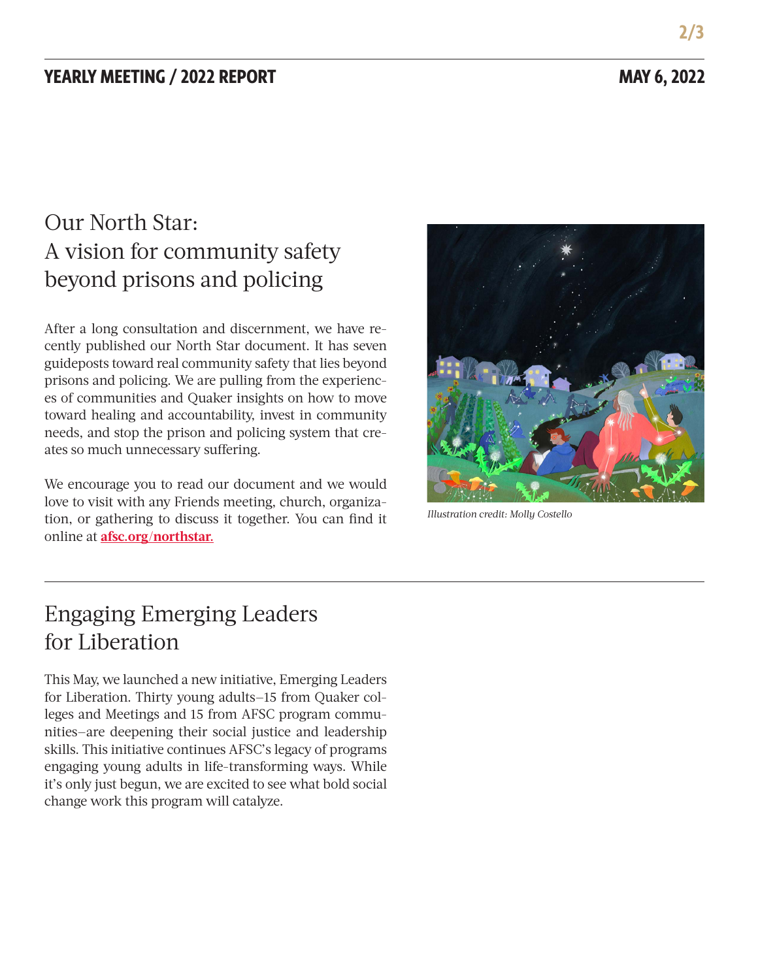**2/3**

### Our North Star: A vision for community safety beyond prisons and policing

After a long consultation and discernment, we have recently published our North Star document. It has seven guideposts toward real community safety that lies beyond prisons and policing. We are pulling from the experiences of communities and Quaker insights on how to move toward healing and accountability, invest in community needs, and stop the prison and policing system that creates so much unnecessary suffering.

We encourage you to read our document and we would love to visit with any Friends meeting, church, organization, or gathering to discuss it together. You can find it online at **[afsc.org/northstar.](https://www.afsc.org/content/our-north-star-vision-community-safety-beyond-prisons-and-policing)**



*Illustration credit: Molly Costello* 

#### Engaging Emerging Leaders for Liberation

This May, we launched a new initiative, Emerging Leaders for Liberation. Thirty young adults—15 from Quaker colleges and Meetings and 15 from AFSC program communities—are deepening their social justice and leadership skills. This initiative continues AFSC's legacy of programs engaging young adults in life-transforming ways. While it's only just begun, we are excited to see what bold social change work this program will catalyze.